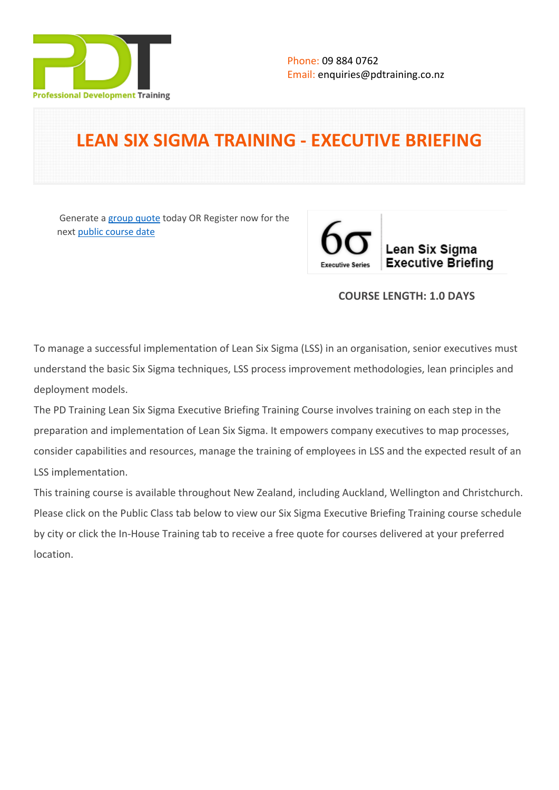

# **LEAN SIX SIGMA TRAINING - EXECUTIVE BRIEFING**

 Generate a [group quote](https://pdtraining.co.nz/inhouse-training-quote?cse=PDT0173) today OR Register now for the next [public course date](https://pdtraining.co.nz/booking?schedulecode=FL424O4JWo7wXoZeZRan3BbQ0NDkzlnBYkiWuol7KVHc8AceY9otWJpdKobqkUjLaFHNfcUKGdNh48RALzvA64Oo4emfn4WZL5bC2x8VoOWT6hjLGLPVxSPg1sTb0OyMqXG87pHmAKmsi5sW5KJLob&countryCode=NZ¤cyCode=NZ)



# **COURSE LENGTH: 1.0 DAYS**

To manage a successful implementation of Lean Six Sigma (LSS) in an organisation, senior executives must understand the basic Six Sigma techniques, LSS process improvement methodologies, lean principles and deployment models.

The PD Training Lean Six Sigma Executive Briefing Training Course involves training on each step in the preparation and implementation of Lean Six Sigma. It empowers company executives to map processes, consider capabilities and resources, manage the training of employees in LSS and the expected result of an LSS implementation.

This training course is available throughout New Zealand, including Auckland, Wellington and Christchurch. Please click on the Public Class tab below to view our Six Sigma Executive Briefing Training course schedule by city or click the In-House Training tab to receive a free quote for courses delivered at your preferred location.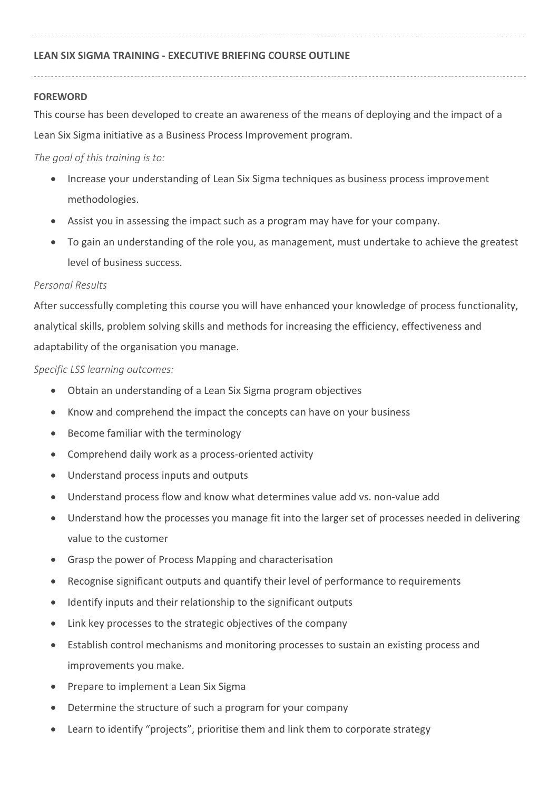## **FOREWORD**

This course has been developed to create an awareness of the means of deploying and the impact of a Lean Six Sigma initiative as a Business Process Improvement program.

## *The goal of this training is to:*

- Increase your understanding of Lean Six Sigma techniques as business process improvement methodologies.
- Assist you in assessing the impact such as a program may have for your company.
- To gain an understanding of the role you, as management, must undertake to achieve the greatest level of business success.

# *Personal Results*

After successfully completing this course you will have enhanced your knowledge of process functionality, analytical skills, problem solving skills and methods for increasing the efficiency, effectiveness and adaptability of the organisation you manage.

*Specific LSS learning outcomes:*

- Obtain an understanding of a Lean Six Sigma program objectives
- Know and comprehend the impact the concepts can have on your business
- Become familiar with the terminology
- Comprehend daily work as a process-oriented activity
- Understand process inputs and outputs
- Understand process flow and know what determines value add vs. non-value add
- Understand how the processes you manage fit into the larger set of processes needed in delivering value to the customer
- Grasp the power of Process Mapping and characterisation
- Recognise significant outputs and quantify their level of performance to requirements
- Identify inputs and their relationship to the significant outputs
- Link key processes to the strategic objectives of the company
- Establish control mechanisms and monitoring processes to sustain an existing process and improvements you make.
- Prepare to implement a Lean Six Sigma
- Determine the structure of such a program for your company
- Learn to identify "projects", prioritise them and link them to corporate strategy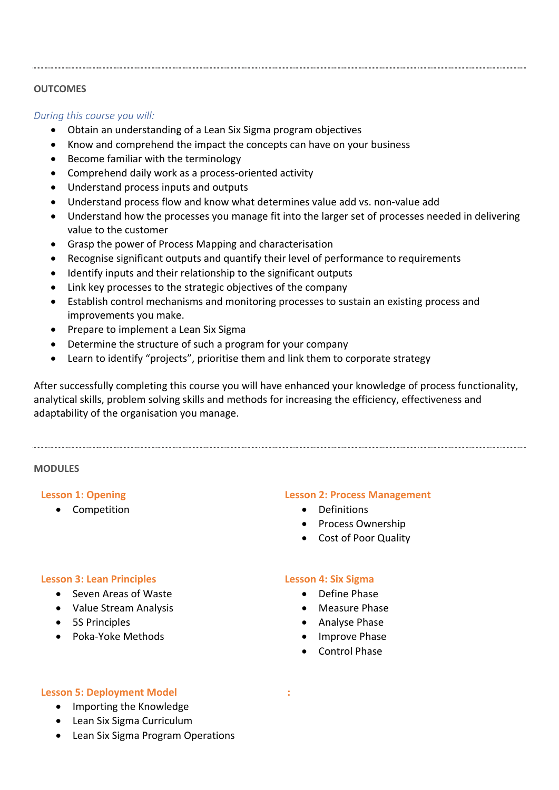## **OUTCOMES**

*During this course you will:*

- Obtain an understanding of a Lean Six Sigma program objectives
- Know and comprehend the impact the concepts can have on your business
- Become familiar with the terminology
- Comprehend daily work as a process-oriented activity
- Understand process inputs and outputs
- Understand process flow and know what determines value add vs. non-value add
- Understand how the processes you manage fit into the larger set of processes needed in delivering value to the customer
- Grasp the power of Process Mapping and characterisation
- Recognise significant outputs and quantify their level of performance to requirements
- Identify inputs and their relationship to the significant outputs
- Link key processes to the strategic objectives of the company
- Establish control mechanisms and monitoring processes to sustain an existing process and improvements you make.
- Prepare to implement a Lean Six Sigma
- Determine the structure of such a program for your company
- Learn to identify "projects", prioritise them and link them to corporate strategy

After successfully completing this course you will have enhanced your knowledge of process functionality, analytical skills, problem solving skills and methods for increasing the efficiency, effectiveness and adaptability of the organisation you manage.

#### **MODULES**

#### **Lesson 1: Opening**

• Competition

#### **Lesson 2: Process Management**

- **•** Definitions
- Process Ownership
- Cost of Poor Quality

#### **Lesson 3: Lean Principles**

- Seven Areas of Waste
- Value Stream Analysis
- 5S Principles
- Poka-Yoke Methods

### **Lesson 4: Six Sigma**

- Define Phase
- Measure Phase
- Analyse Phase
- Improve Phase
- Control Phase

 **:** 

#### **Lesson 5: Deployment Model**

- Importing the Knowledge
- Lean Six Sigma Curriculum
- Lean Six Sigma Program Operations